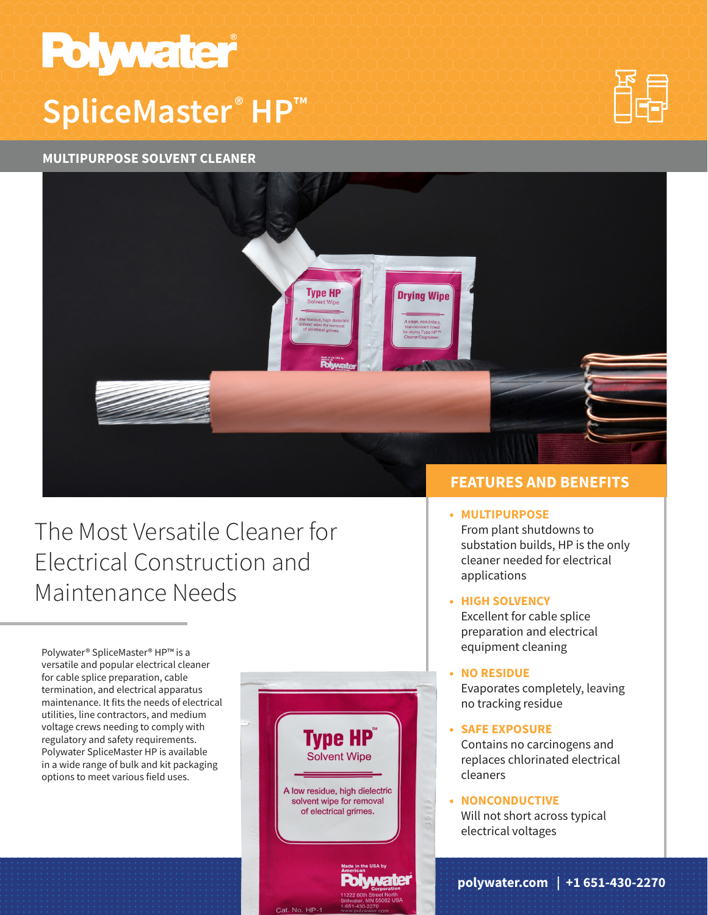# **Polywater SpliceMaster ® HP™**

#### **MULTIPURPOSE SOLVENT CLEANER**





## The Most Versatile Cleaner for Electrical Construction and Maintenance Needs

Polywater® SpliceMaster® HP™ is a versatile and popular electrical cleaner for cable splice preparation, cable termination, and electrical apparatus maintenance. It fits the needs of electrical utilities, line contractors, and medium voltage crews needing to comply with regulatory and safety requirements. Polywater SpliceMaster HP is available in a wide range of bulk and kit packaging options to meet various field uses.



### **FEATURES AND BENEFITS**

#### **• MULTIPURPOSE**

From plant shutdowns to substation builds, HP is the only cleaner needed for electrical applications

#### **• HIGH SOLVENCY**

Excellent for cable splice preparation and electrical equipment cleaning

#### **• NO RESIDUE**

Evaporates completely, leaving no tracking residue

**• SAFE EXPOSURE** Contains no carcinogens and replaces chlorinated electrical cleaners

#### **• NONCONDUCTIVE**

Will not short across typical electrical voltages